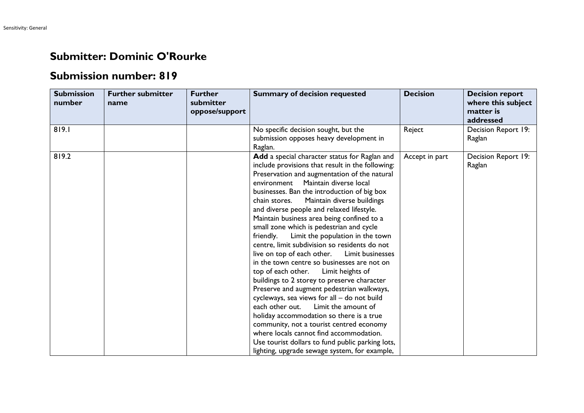## **Submitter: Dominic O'Rourke**

## **Submission number: 819**

| <b>Submission</b><br>number | <b>Further submitter</b><br>name | <b>Further</b><br>submitter<br>oppose/support | <b>Summary of decision requested</b>                                                                                                                                                                                                                                                                                                                                                                                                                                                                                                                                                                                                                                                                                                                                                                                                                                                                                                                                                                                                                                                                | <b>Decision</b> | <b>Decision report</b><br>where this subject<br>matter is<br>addressed |
|-----------------------------|----------------------------------|-----------------------------------------------|-----------------------------------------------------------------------------------------------------------------------------------------------------------------------------------------------------------------------------------------------------------------------------------------------------------------------------------------------------------------------------------------------------------------------------------------------------------------------------------------------------------------------------------------------------------------------------------------------------------------------------------------------------------------------------------------------------------------------------------------------------------------------------------------------------------------------------------------------------------------------------------------------------------------------------------------------------------------------------------------------------------------------------------------------------------------------------------------------------|-----------------|------------------------------------------------------------------------|
| 819.1                       |                                  |                                               | No specific decision sought, but the<br>submission opposes heavy development in<br>Raglan.                                                                                                                                                                                                                                                                                                                                                                                                                                                                                                                                                                                                                                                                                                                                                                                                                                                                                                                                                                                                          | Reject          | Decision Report 19:<br>Raglan                                          |
| 819.2                       |                                  |                                               | Add a special character status for Raglan and<br>include provisions that result in the following:<br>Preservation and augmentation of the natural<br>environment Maintain diverse local<br>businesses. Ban the introduction of big box<br>Maintain diverse buildings<br>chain stores.<br>and diverse people and relaxed lifestyle.<br>Maintain business area being confined to a<br>small zone which is pedestrian and cycle<br>friendly.<br>Limit the population in the town<br>centre, limit subdivision so residents do not<br>live on top of each other. Limit businesses<br>in the town centre so businesses are not on<br>top of each other.<br>Limit heights of<br>buildings to 2 storey to preserve character<br>Preserve and augment pedestrian walkways,<br>cycleways, sea views for all - do not build<br>each other out.<br>Limit the amount of<br>holiday accommodation so there is a true<br>community, not a tourist centred economy<br>where locals cannot find accommodation.<br>Use tourist dollars to fund public parking lots,<br>lighting, upgrade sewage system, for example, | Accept in part  | Decision Report 19:<br>Raglan                                          |